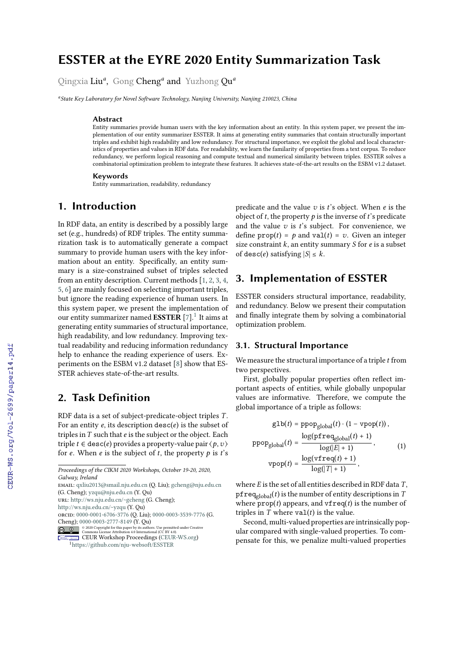# **ESSTER at the EYRE 2020 Entity Summarization Task**

Qingxia Liu*<sup>a</sup>* , Gong Cheng*<sup>a</sup>* and Yuzhong Qu*<sup>a</sup>*

*a State Key Laboratory for Novel Software Technology, Nanjing University, Nanjing 210023, China*

#### **Abstract**

Entity summaries provide human users with the key information about an entity. In this system paper, we present the implementation of our entity summarizer ESSTER. It aims at generating entity summaries that contain structurally important triples and exhibit high readability and low redundancy. For structural importance, we exploit the global and local characteristics of properties and values in RDF data. For readability, we learn the familarity of properties from a text corpus. To reduce redundancy, we perform logical reasoning and compute textual and numerical similarity between triples. ESSTER solves a combinatorial optimization problem to integrate these features. It achieves state-of-the-art results on the ESBM v1.2 dataset.

#### **Keywords**

Entity summarization, readability, redundancy

## **1. Introduction**

In RDF data, an entity is described by a possibly large set (e.g., hundreds) of RDF triples. The entity summarization task is to automatically generate a compact summary to provide human users with the key information about an entity. Specifically, an entity summary is a size-constrained subset of triples selected from an entity description. Current methods [\[1,](#page--1-0) [2,](#page--1-1) [3,](#page--1-2) [4,](#page--1-3) [5,](#page--1-4) [6\]](#page--1-5) are mainly focused on selecting important triples, but ignore the reading experience of human users. In this system paper, we present the implementation of our entity summarizer named  $\textbf{ESSTER}$  [\[7\]](#page--1-6). $^1$  $^1$  It aims at generating entity summaries of structural importance, high readability, and low redundancy. Improving textual readability and reducing information redundancy help to enhance the reading experience of users. Experiments on the ESBM v1.2 dataset [\[8\]](#page--1-7) show that ES-STER achieves state-of-the-art results.

## **2. Task Definition**

RDF data is a set of subject-predicate-object triples  $T$ . For an entity  $e$ , its description desc( $e$ ) is the subset of triples in  $T$  such that  $e$  is the subject or the object. Each triple  $t \in desc(e)$  provides a property-value pair  $\langle p, v \rangle$ for *e*. When *e* is the subject of *t*, the property *p* is *t*'s

<http://ws.nju.edu.cn/~yzqu> (Y. Qu) orcid: [0000-0001-6706-3776](https://orcid.org/0000-0001-6706-3776) (Q. Liu); [0000-0003-3539-7776](https://orcid.org/0000-0003-3539-7776) (G.

predicate and the value  $v$  is  $t$ 's object. When  $e$  is the object of  $t$ , the property  $p$  is the inverse of  $t$ 's predicate and the value  $v$  is  $t$ 's subject. For convenience, we define  $\text{prop}(t) = p$  and  $\text{val}(t) = v$ . Given an integer size constraint  $k$ , an entity summary  $S$  for  $e$  is a subset of desc(e) satisfying  $|S| \leq k$ .

## **3. Implementation of ESSTER**

ESSTER considers structural importance, readability, and redundancy. Below we present their computation and finally integrate them by solving a combinatorial optimization problem.

#### **3.1. Structural Importance**

We measure the structural importance of a triple  $t$  from two perspectives.

First, globally popular properties often reflect important aspects of entities, while globally unpopular values are informative. Therefore, we compute the global importance of a triple as follows:

$$
g1b(t) = ppop_{global}(t) \cdot (1 - vpop(t)),
$$
  
\n
$$
ppop_{global}(t) = \frac{\log(pfreq_{global}(t) + 1)}{\log(|E| + 1)},
$$
  
\n
$$
vpop(t) = \frac{\log(vfreq(t) + 1)}{\log(|T| + 1)},
$$
\n(1)

where  $E$  is the set of all entities described in RDF data  $T$ , pfreq<sub>global</sub>(*t*) is the number of entity descriptions in T where  $\text{prop}(t)$  appears, and  $\text{vfreq}(t)$  is the number of triples in  $T$  where val $(t)$  is the value.

Second, multi-valued properties are intrinsically popular compared with single-valued properties. To compensate for this, we penalize multi-valued properties

*Proceedings of the CIKM 2020 Workshops, October 19-20, 2020, Galway, Ireland*

email: [qxliu2013@smail.nju.edu.cn](mailto:qxliu2013@smail.nju.edu.cn) (Q. Liu); [gcheng@nju.edu.cn](mailto:gcheng@nju.edu.cn) (G. Cheng); [yzqu@nju.edu.cn](mailto:yzqu@nju.edu.cn) (Y. Qu)

url: <http://ws.nju.edu.cn/~gcheng> (G. Cheng);

Cheng); [0000-0003-2777-8149](https://orcid.org/0000-0003-2777-8149) (Y. Qu)<br>
© 2020 Copyright for this paper by its authors. Use permitted under Creative<br>
© 2020 Commons License Attribution 4.0 International (CC BY 4.0). CEUR Workshop [Proceedings](http://ceur-ws.org) [\(CEUR-WS.org\)](http://ceur-ws.org)

<span id="page-0-0"></span><sup>1</sup><https://github.com/nju-websoft/ESSTER>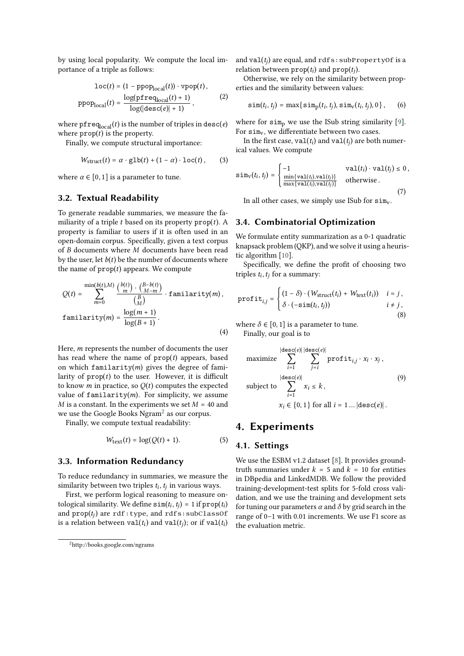by using local popularity. We compute the local importance of a triple as follows:

$$
loc(t) = (1 - \text{prop}_{local}(t)) \cdot \text{vpop}(t),
$$

$$
\text{prop}_{local}(t) = \frac{\log(\text{pfreq}_{local}(t) + 1)}{\log(|\text{desc}(e)| + 1)},
$$
(2)

where  $\texttt{pfreq}_{\text{local}}(t)$  is the number of triples in  $\texttt{desc}(e)$ where  $\text{prop}(t)$  is the property.

Finally, we compute structural importance:

$$
W_{\text{struct}}(t) = \alpha \cdot \text{glb}(t) + (1 - \alpha) \cdot \text{loc}(t), \qquad (3)
$$

where  $\alpha \in [0, 1]$  is a parameter to tune.

#### **3.2. Textual Readability**

To generate readable summaries, we measure the familiarity of a triple  $t$  based on its property  $\text{prop}(t)$ . A property is familiar to users if it is often used in an open-domain corpus. Specifically, given a text corpus of  $B$  documents where  $M$  documents have been read by the user, let  $b(t)$  be the number of documents where the name of  $prop(t)$  appears. We compute

$$
Q(t) = \sum_{m=0}^{\min(b(t),M)} \frac{\binom{b(t)}{m} \cdot \binom{B-b(t)}{M-m}}{\binom{B}{M}} \cdot \text{family}(m),
$$
  
familiarity(m) = 
$$
\frac{\log(m+1)}{\log(B+1)}.
$$
 (4)

Here,  *represents the number of documents the user* has read where the name of  $prop(t)$  appears, based on which familarity $(m)$  gives the degree of familarity of  $prop(t)$  to the user. However, it is difficult to know *m* in practice, so  $Q(t)$  computes the expected value of familarity $(m)$ . For simplicity, we assume  $M$  is a constant. In the experiments we set  $M = 40$  and we use the Google Books  $\mathrm{Ngram}^2$  $\mathrm{Ngram}^2$  as our corpus.

Finally, we compute textual readability:

$$
W_{\text{text}}(t) = \log(Q(t) + 1). \tag{5}
$$

#### **3.3. Information Redundancy**

To reduce redundancy in summaries, we measure the similarity between two triples  $t_i$ ,  $t_j$  in various ways.

First, we perform logical reasoning to measure ontological similarity. We define  $\texttt{sim}(t_i, t_j) = 1$  if  $\texttt{prop}(t_i)$ and  $\text{prop}(t_i)$  are rdf:type, and rdfs:subClassOf is a relation between  $val(t_i)$  and  $val(t_i)$ ; or if  $val(t_i)$  and val $(t_i)$  are equal, and rdfs: subPropertyOf is a relation between  $\text{prop}(t_i)$  and  $\text{prop}(t_i)$ .

Otherwise, we rely on the similarity between properties and the similarity between values:

$$
\text{sim}(t_i, t_j) = \max\{\text{sim}_p(t_i, t_j), \text{sim}_v(t_i, t_j), 0\},\qquad(6)
$$

where for  $\sinh p$  we use the ISub string similarity [\[9\]](#page-2-0). For  $sim_{v}$ , we differentiate between two cases.

In the first case,  $val(t_i)$  and  $val(t_i)$  are both numerical values. We compute

$$
\sin(v(t_i, t_j)) = \begin{cases}\n-1 & \text{val}(t_i) \cdot \text{val}(t_j) \leq 0, \\
\frac{\min\{\text{val}(t_i), \text{val}(t_j)\}}{\max\{\text{val}(t_i), \text{val}(t_j)\}} & \text{otherwise.} \n\end{cases}
$$
\n(7)

In all other cases, we simply use ISub for  $\sin w$ .

#### **3.4. Combinatorial Optimization**

We formulate entity summarization as a 0-1 quadratic knapsack problem (QKP), and we solve it using a heuristic algorithm [\[10\]](#page-2-1).

Specifically, we define the profit of choosing two triples  $t_i$ ,  $t_j$  for a summary:

$$
\text{profit}_{i,j} = \begin{cases} (1 - \delta) \cdot (W_{\text{struct}}(t_i) + W_{\text{text}}(t_i)) & i = j, \\ \delta \cdot (-\sin(t_i, t_j)) & i \neq j, \end{cases} \tag{8}
$$

where  $\delta \in [0, 1]$  is a parameter to tune.

Finally, our goal is to

 $\overline{a}$ 

$$
\text{maximize} \sum_{i=1}^{|\text{desc}(e)|} \sum_{j=i}^{|\text{desc}(e)|} \text{profit}_{i,j} \cdot x_i \cdot x_j, \\ \text{subject to} \sum_{i=1}^{|\text{desc}(e)|} x_i \le k, \tag{9}
$$

 $x_i \in \{0, 1\}$  for all  $i = 1 ... |\text{desc}(e)|$ .

### **4. Experiments**

#### **4.1. Settings**

We use the ESBM v1.2 dataset [\[8\]](#page-2-2). It provides groundtruth summaries under  $k = 5$  and  $k = 10$  for entities in DBpedia and LinkedMDB. We follow the provided training-development-test splits for 5-fold cross validation, and we use the training and development sets for tuning our parameters  $\alpha$  and  $\delta$  by grid search in the range of 0–1 with 0.01 increments. We use F1 score as the evaluation metric.

<span id="page-1-0"></span><sup>2</sup>http://books.google.com/ngrams